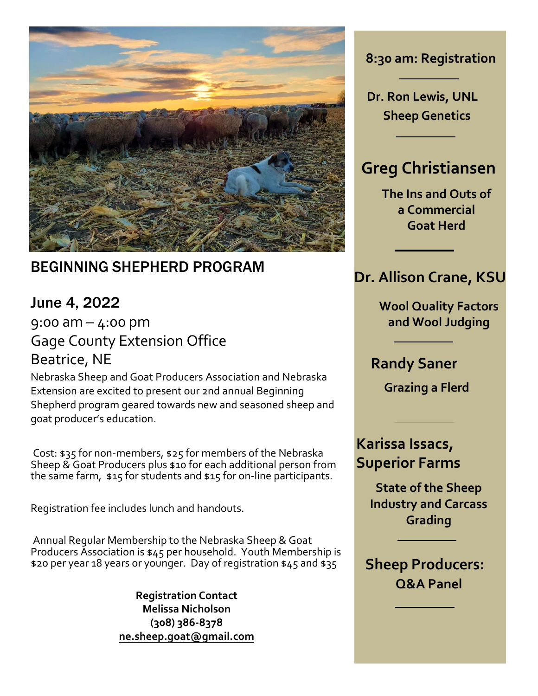

### BEGINNING SHEPHERD PROGRAM

## June 4, 2022

9:00 am  $-$  4:00 pm Gage County Extension Office Beatrice, NE

Nebraska Sheep and Goat Producers Association and Nebraska Extension are excited to present our 2nd annual Beginning Shepherd program geared towards new and seasoned sheep and goat producer's education.

 Cost: \$35 for non-members, \$25 for members of the Nebraska Sheep & Goat Producers plus \$10 for each additional person from the same farm, \$15 for students and \$15 for on-line participants.

Registration fee includes lunch and handouts.

 Annual Regular [Membership to the Nebraska Sheep](http://www.ne.sheep.goat@gmail.com/) & Goat Producers Association is \$45 per household. Youth Membership is \$20 per year 18 years or younger. Day of registration \$45 and \$35

> **Registration Contact Melissa Nicholson (308) 386-8378 ne.sheep.goat@gmail.com**

**8:30 am: Registration**

**Dr. Ron Lewis, UNL Sheep Genetics**

## **Greg Christiansen**

**The Ins and Outs of a Commercial Goat Herd** 

#### **Dr. Allison Crane, KSU**

**Wool Quality Factors and Wool Judging**

**Randy Saner** 

**Grazing a Flerd**

### **Karissa Issacs, Superior Farms**

**State of the Sheep Industry and Carcass Grading**

**Sheep Producers: Q&A Panel**